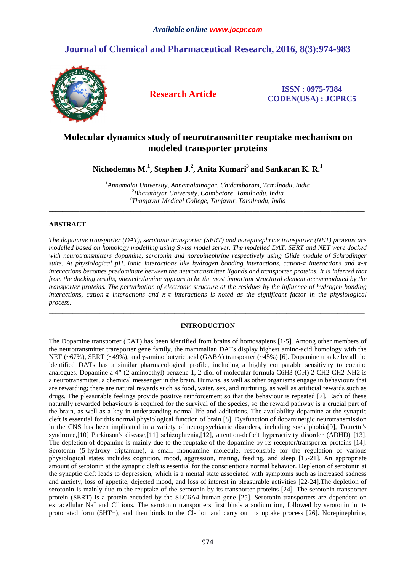## *Available online www.jocpr.com*

# **Journal of Chemical and Pharmaceutical Research, 2016, 8(3):974-983**



**Research Article ISSN : 0975-7384 CODEN(USA) : JCPRC5**

# **Molecular dynamics study of neurotransmitter reuptake mechanism on modeled transporter proteins**

**Nichodemus M.<sup>1</sup> , Stephen J.<sup>2</sup> , Anita Kumari<sup>3</sup>and Sankaran K. R.<sup>1</sup>**

*<sup>1</sup>Annamalai University, Annamalainagar, Chidambaram, Tamilnadu, India <sup>2</sup>Bharathiyar University, Coimbatore, Tamilnadu, India 3 Thanjavur Medical College, Tanjavur, Tamilnadu, India*

**\_\_\_\_\_\_\_\_\_\_\_\_\_\_\_\_\_\_\_\_\_\_\_\_\_\_\_\_\_\_\_\_\_\_\_\_\_\_\_\_\_\_\_\_\_\_\_\_\_\_\_\_\_\_\_\_\_\_\_\_\_\_\_\_\_\_\_\_\_\_\_\_\_\_\_\_\_\_\_\_\_\_\_\_\_\_\_\_\_\_\_\_\_** 

## **ABSTRACT**

*The dopamine transporter (DAT), serotonin transporter (SERT) and norepinephrine transporter (NET) proteins are modelled based on homology modelling using Swiss model server. The modelled DAT, SERT and NET were docked with neurotransmitters dopamine, serotonin and norepinephrine respectively using Glide module of Schrodinger suite. At physiological pH, ionic interactions like hydrogen bonding interactions, cation-π interactions and π-π interactions becomes predominate between the neurotransmitter ligands and transporter proteins. It is inferred that from the docking results, phenethylamine appears to be the most important structural element accommodated by the transporter proteins. The perturbation of electronic structure at the residues by the influence of hydrogen bonding interactions, cation-π interactions and π-π interactions is noted as the significant factor in the physiological process.* 

## **INTRODUCTION**

**\_\_\_\_\_\_\_\_\_\_\_\_\_\_\_\_\_\_\_\_\_\_\_\_\_\_\_\_\_\_\_\_\_\_\_\_\_\_\_\_\_\_\_\_\_\_\_\_\_\_\_\_\_\_\_\_\_\_\_\_\_\_\_\_\_\_\_\_\_\_\_\_\_\_\_\_\_\_\_\_\_\_\_\_\_\_\_\_\_\_\_\_\_** 

The Dopamine transporter (DAT) has been identified from brains of homosapiens [1-5]. Among other members of the neurotransmitter transporter gene family, the mammalian DATs display highest amino-acid homology with the NET (~67%), SERT (~49%), and  $\gamma$ -amino butyric acid (GABA) transporter (~45%) [6]. Dopamine uptake by all the identified DATs has a similar pharmacological profile, including a highly comparable sensitivity to cocaine analogues. Dopamine a 4"-(2-aminoethyl) benzene-1, 2-diol of molecular formula C6H3 (OH) 2-CH2-CH2-NH2 is a neurotransmitter, a chemical messenger in the brain. Humans, as well as other organisms engage in behaviours that are rewarding; there are natural rewards such as food, water, sex, and nurturing, as well as artificial rewards such as drugs. The pleasurable feelings provide positive reinforcement so that the behaviour is repeated [7]. Each of these naturally rewarded behaviours is required for the survival of the species, so the reward pathway is a crucial part of the brain, as well as a key in understanding normal life and addictions. The availability dopamine at the synaptic cleft is essential for this normal physiological function of brain [8]. Dysfunction of dopaminergic neurotransmission in the CNS has been implicated in a variety of neuropsychiatric disorders, including socialphobia[9], Tourette's syndrome,[10] Parkinson's disease,[11] schizophrenia,[12], attention-deficit hyperactivity disorder (ADHD) [13]. The depletion of dopamine is mainly due to the reuptake of the dopamine by its receptor/transporter proteins [14]. Serotonin (5-hydroxy triptamine), a small monoamine molecule, responsible for the regulation of various physiological states includes cognition, mood, aggression, mating, feeding, and sleep [15-21]. An appropriate amount of serotonin at the synaptic cleft is essential for the conscientious normal behavior. Depletion of serotonin at the synaptic cleft leads to depression, which is a mental state associated with symptoms such as increased sadness and anxiety, loss of appetite, dejected mood, and loss of interest in pleasurable activities [22-24].The depletion of serotonin is mainly due to the reuptake of the serotonin by its transporter proteins [24]. The serotonin transporter protein (SERT) is a protein encoded by the SLC6A4 human gene [25]. Serotonin transporters are dependent on extracellular Na<sup>+</sup> and Cl<sup>-</sup> ions. The serotonin transporters first binds a sodium ion, followed by serotonin in its protonated form (5HT+), and then binds to the Cl- ion and carry out its uptake process [26]. Norepinephrine,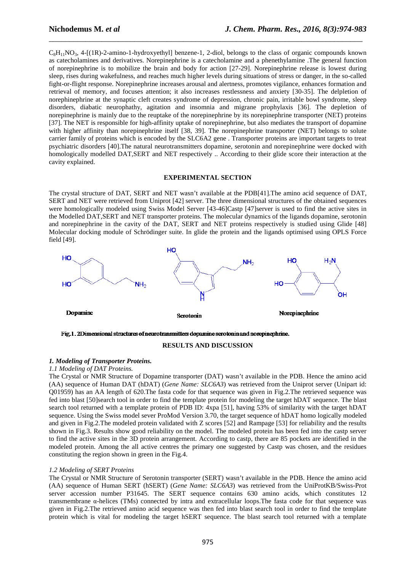$C_8H_{11}NO_3$ , 4-[(1R)-2-amino-1-hydroxyethyl] benzene-1, 2-diol, belongs to the class of organic compounds known as catecholamines and derivatives. Norepinephrine is a catecholamine and a phenethylamine .The general function of norepinephrine is to mobilize the brain and body for action [27-29]. Norepinephrine release is lowest during sleep, rises during wakefulness, and reaches much higher levels during situations of stress or danger, in the so-called fight-or-flight response. Norepinephrine increases arousal and alertness, promotes vigilance, enhances formation and retrieval of memory, and focuses attention; it also increases restlessness and anxiety [30-35]. The delpletion of norephinephrine at the synaptic cleft creates syndrome of depression, chronic pain, irritable bowl syndrome, sleep disorders, diabatic neurophathy, agitation and insomnia and migrane prophylaxis [36]. The depletion of norepinephrine is mainly due to the reuptake of the norepinephrine by its norepinephrine transporter (NET) proteins [37]. The NET is responsible for high-affinity uptake of norepinephrine, but also mediates the transport of dopamine with higher affinity than norepinephrine itself [38, 39]. The norepinephrine transporter (NET) belongs to solute carrier family of proteins which is encoded by the SLC6A2 gene . Transporter proteins are important targets to treat psychiatric disorders [40].The natural neurotransmitters dopamine, serotonin and norepinephrine were docked with homologically modelled DAT,SERT and NET respectively .. According to their glide score their interaction at the cavity explained.

\_\_\_\_\_\_\_\_\_\_\_\_\_\_\_\_\_\_\_\_\_\_\_\_\_\_\_\_\_\_\_\_\_\_\_\_\_\_\_\_\_\_\_\_\_\_\_\_\_\_\_\_\_\_\_\_\_\_\_\_\_\_\_\_\_\_\_\_\_\_\_\_\_\_\_\_\_

### **EXPERIMENTAL SECTION**

The crystal structure of DAT, SERT and NET wasn't available at the PDB[41].The amino acid sequence of DAT, SERT and NET were retrieved from Uniprot [42] server. The three dimensional structures of the obtained sequences were homologically modeled using Swiss Model Server [43-46]Castp [47]server is used to find the active sites in the Modelled DAT,SERT and NET transporter proteins. The molecular dynamics of the ligands dopamine, serotonin and norepinephrine in the cavity of the DAT, SERT and NET proteins respectively is studied using Glide [48] Molecular docking module of Schrödinger suite. In glide the protein and the ligands optimised using OPLS Force field [49].



Fig. 1. 2Dimensional structures of neurotransmitters dopamine serotonin and norepinephrine.

## **RESULTS AND DISCUSSION**

## *1. Modeling of Transporter Proteins.*

*1.1 Modeling of DAT Proteins.*

The Crystal or NMR Structure of Dopamine transporter (DAT) wasn't available in the PDB. Hence the amino acid (AA) sequence of Human DAT (hDAT) (*Gene Name: SLC6A3*) was retrieved from the Uniprot server (Unipart id: Q01959) has an AA length of 620.The fasta code for that sequence was given in Fig.2.The retrieved sequence was fed into blast [50]search tool in order to find the template protein for modeling the target hDAT sequence. The blast search tool returned with a template protein of PDB ID: 4xpa [51], having 53% of similarity with the target hDAT sequence. Using the Swiss model sever ProMod Version 3.70, the target sequence of hDAT homo logically modeled and given in Fig.2.The modeled protein validated with Z scores [52] and Rampage [53] for reliability and the results shown in Fig.3. Results show good reliability on the model. The modeled protein has been fed into the castp server to find the active sites in the 3D protein arrangement. According to castp, there are 85 pockets are identified in the modeled protein. Among the all active centres the primary one suggested by Castp was chosen, and the residues constituting the region shown in green in the Fig.4.

### *1.2 Modeling of SERT Proteins*

The Crystal or NMR Structure of Serotonin transporter (SERT) wasn't available in the PDB. Hence the amino acid (AA) sequence of Human SERT (hSERT) (*Gene Name: SLC6A3*) was retrieved from the UniProtKB/Swiss-Prot server accession number P31645. The SERT sequence contains 630 amino acids, which constitutes 12 transmembrane α-helices (TMs) connected by intra and extracellular loops.The fasta code for that sequence was given in Fig.2.The retrieved amino acid sequence was then fed into blast search tool in order to find the template protein which is vital for modeling the target hSERT sequence. The blast search tool returned with a template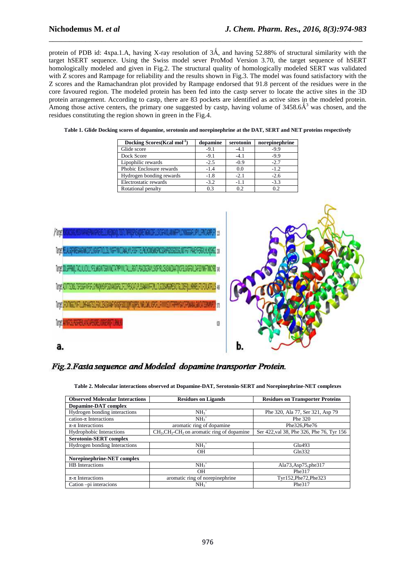protein of PDB id: 4xpa.1.A, having X-ray resolution of  $3\text{\AA}$ , and having 52.88% of structural similarity with the target hSERT sequence. Using the Swiss model sever ProMod Version 3.70, the target sequence of hSERT homologically modeled and given in Fig.2. The structural quality of homologically modeled SERT was validated with Z scores and Rampage for reliability and the results shown in Fig.3. The model was found satisfactory with the Z scores and the Ramachandran plot provided by Rampage endorsed that 91.8 percent of the residues were in the core favoured region. The modeled protein has been fed into the castp server to locate the active sites in the 3D protein arrangement. According to castp, there are 83 pockets are identified as active sites in the modeled protein. Among those active centers, the primary one suggested by castp, having volume of  $3458.6\text{\AA}^3$  was chosen, and the residues constituting the region shown in green in the Fig.4.

\_\_\_\_\_\_\_\_\_\_\_\_\_\_\_\_\_\_\_\_\_\_\_\_\_\_\_\_\_\_\_\_\_\_\_\_\_\_\_\_\_\_\_\_\_\_\_\_\_\_\_\_\_\_\_\_\_\_\_\_\_\_\_\_\_\_\_\_\_\_\_\_\_\_\_\_\_

| Table 1. Glide Docking scores of dopamine, serotonin and norepinephrine at the DAT, SERT and NET proteins respectively |  |  |
|------------------------------------------------------------------------------------------------------------------------|--|--|
|                                                                                                                        |  |  |

| Docking Scores (Kcal mol <sup>-1</sup> ) | dopamine | serotonin | norepinephrine |
|------------------------------------------|----------|-----------|----------------|
| Glide score                              | $-9.1$   | $-4.1$    | $-9.9$         |
| Dock Score                               | $-9.1$   | $-4.1$    | $-9.9$         |
| Lipophilic rewards                       | $-2.5$   | $-0.9$    | $-2.7$         |
| Phobic Enclosure rewards                 | $-1.4$   | 0.0       | $-1.2$         |
| Hydrogen bonding rewards                 | $-1.8$   | $-2.1$    | $-2.6$         |
| Electrostatic rewards                    | $-3.2$   | $-1.1$    | $-3.3$         |
| Rotational penalty                       | 0.3      | 0.2       | 0.2            |



# Fig. 2. Fasta sequence and Modeled dopamine transporter Protein.

| <b>Observed Molecular Interactions</b> | <b>Residues on Ligands</b>                  | <b>Residues on Transporter Proteins</b>   |
|----------------------------------------|---------------------------------------------|-------------------------------------------|
| Dopamine-DAT complex                   |                                             |                                           |
| Hydrogen bonding interactions          | $NH3+$                                      | Phe 320, Ala 77, Ser 321, Asp 79          |
| cation- $\pi$ Interactions             | $NH3+$                                      | Phe 320                                   |
| $\pi$ - $\pi$ Interactions             | aromatic ring of dopamine                   | Phe326.Phe76                              |
| Hydrophobic Interactions               | $CH2, CH2-CH2$ on aromatic ring of dopamine | Ser 422, val 38, Phe 326, Phe 76, Tyr 156 |
| <b>Serotonin-SERT</b> complex          |                                             |                                           |
| Hydrogen bonding Interactions          | $NH3+$                                      | Glu493                                    |
|                                        | <b>OH</b>                                   | Gln332                                    |
| Norepinephrine-NET complex             |                                             |                                           |
| <b>HB</b> Interactions                 | $NH3+$                                      | Ala73, Asp75, phe317                      |
|                                        | <b>OH</b>                                   | Phe317                                    |
| $\pi$ - $\pi$ Interactions             | aromatic ring of norepinephrine             | Tyr152, Phe 72, Phe 323                   |
| Cation -pi interacions                 | $NH3+$                                      | Phe317                                    |

**Table 2. Molecular interactions observed at Dopamine-DAT, Serotonin-SERT and Norepinephrine-NET complexes**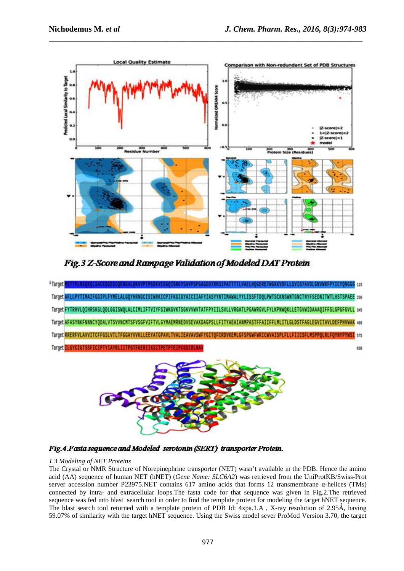

\_\_\_\_\_\_\_\_\_\_\_\_\_\_\_\_\_\_\_\_\_\_\_\_\_\_\_\_\_\_\_\_\_\_\_\_\_\_\_\_\_\_\_\_\_\_\_\_\_\_\_\_\_\_\_\_\_\_\_\_\_\_\_\_\_\_\_\_\_\_\_\_\_\_\_\_\_

Fig. 3 Z-Score and Rampage Validation of Modeled DAT Protein

| FTarget <mark>#ETTPLNSQKQLSACEDGEDCQEN6VLQKVVPTPGDKVES6QISN6YSAVPSPGAGDDTRHSIPATTTTLVAELHQGERETWGKXVDFLLSVIGYAVDLGNVWRFPYICYQNGGG 115</mark> |     |
|----------------------------------------------------------------------------------------------------------------------------------------------|-----|
| Target AFLLPYTIMAIFGGIPLFYMELALGQYHRNGCISIWRKICPIFKGIGYAICIIAFYIASYYNTIMAWALYYLISSFTDQLPWTSCKNSWNTGNCTNYFSEDNITWTLHSTSPAEE 230               |     |
| Target FYTRHVLQIHRSKGLQDLGGISWQLALCIMLIFTVIYFSIWKGVKTSGKVVWVTATFPYIILSVLLVRGATLPGAWRGVLFYLKPNWQKLLETGVWIDAAAQIFFSLGPGFGVLL 345               |     |
| Target AFASYNKFNNNCYQDALVTSVVNCMTSFVSGFVIFTVLGYMAEMRNEDVSEVAKDAGPSLLFITYAEAIANMPASTFFAIIFFLMLITLGLDSTFAGLEGVITAVLDEFPHVWAK 450               |     |
| Target RRERFVLAVVITCFF6SLVTLTF6GAYVVKLLEEYATGPAVLTVALIEAVAVSWFYGITQFCRDVKEMLGFSPGWFWRICWVAISPLFLLFIICSFLMSPPQLRLFQYNYPYWSI 575               |     |
| Target ILGYCIGTSSFICIPTYIAYRLIITPGTFKERIIKSITPETPTEIPCGDIRLNAV                                                                               | 638 |



Fig. 4. Fasta sequence and Modeled serotonin (SERT) transporter Protein.

## *1.3 Modeling of NET Proteins*

The Crystal or NMR Structure of Norepinephrine transporter (NET) wasn't available in the PDB. Hence the amino acid (AA) sequence of human NET (hNET) (*Gene Name: SLC6A2*) was retrieved from the UniProtKB/Swiss-Prot server accession number P23975.NET contains 617 amino acids that forms 12 transmembrane α-helices (TMs) connected by intra- and extracellular loops.The fasta code for that sequence was given in Fig.2.The retrieved sequence was fed into blast search tool in order to find the template protein for modeling the target hNET sequence. The blast search tool returned with a template protein of PDB Id: 4xpa.1.A, X-ray resolution of 2.95Å, having 59.07% of similarity with the target hNET sequence. Using the Swiss model sever ProMod Version 3.70, the target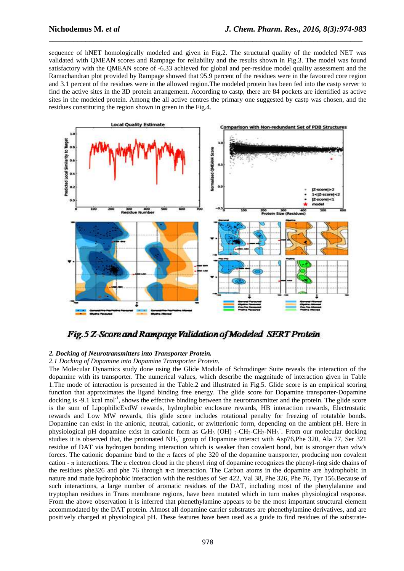sequence of hNET homologically modeled and given in Fig.2. The structural quality of the modeled NET was validated with QMEAN scores and Rampage for reliability and the results shown in Fig.3. The model was found satisfactory with the QMEAN score of -6.33 achieved for global and per-residue model quality assessment and the Ramachandran plot provided by Rampage showed that 95.9 percent of the residues were in the favoured core region and 3.1 percent of the residues were in the allowed region.The modeled protein has been fed into the castp server to find the active sites in the 3D protein arrangement. According to castp, there are 84 pockets are identified as active sites in the modeled protein. Among the all active centres the primary one suggested by castp was chosen, and the residues constituting the region shown in green in the Fig.4.

\_\_\_\_\_\_\_\_\_\_\_\_\_\_\_\_\_\_\_\_\_\_\_\_\_\_\_\_\_\_\_\_\_\_\_\_\_\_\_\_\_\_\_\_\_\_\_\_\_\_\_\_\_\_\_\_\_\_\_\_\_\_\_\_\_\_\_\_\_\_\_\_\_\_\_\_\_



Fig.5 Z-Score and Rampage Validation of Modeled SERT Protein

## *2. Docking of Neurotransmitters into Transporter Protein.*

*2.1 Docking of Dopamine into Dopamine Transporter Protein.*

The Molecular Dynamics study done using the Glide Module of Schrodinger Suite reveals the interaction of the dopamine with its transporter. The numerical values, which describe the magnitude of interaction given in Table 1.The mode of interaction is presented in the Table.2 and illustrated in Fig.5. Glide score is an empirical scoring function that approximates the ligand binding free energy. The glide score for Dopamine transporter-Dopamine docking is -9.1 kcal mol<sup>-1</sup>, shows the effective binding between the neurotransmitter and the protein. The glide score is the sum of LipophilicEvdW rewards, hydrophobic enclosure rewards, HB interaction rewards, Electrostatic rewards and Low MW rewards, this glide score includes rotational penalty for freezing of rotatable bonds. Dopamine can exist in the anionic, neutral, cationic, or zwitterionic form, depending on the ambient pH. Here in physiological pH dopamine exist in cationic form as  $C_6H_3$  (OH)  $_2$ -CH<sub>2</sub>-CH<sub>2</sub>-NH<sub>3</sub><sup>+</sup>. From our molecular docking studies it is observed that, the protonated  $NH_3^+$  group of Dopamine interact with Asp76, Phe 320, Ala 77, Ser 321 residue of DAT via hydrogen bonding interaction which is weaker than covalent bond, but is stronger than vdw's forces. The cationic dopamine bind to the  $\pi$  faces of phe 320 of the dopamine transporter, producing non covalent cation -  $\pi$  interactions. The  $\pi$  electron cloud in the phenyl ring of dopamine recognizes the phenyl-ring side chains of the residues phe326 and phe 76 through  $\pi$ - $\pi$  interaction. The Carbon atoms in the dopamine are hydrophobic in nature and made hydrophobic interaction with the residues of Ser 422, Val 38, Phe 326, Phe 76, Tyr 156.Because of such interactions, a large number of aromatic residues of the DAT, including most of the phenylalanine and tryptophan residues in Trans membrane regions, have been mutated which in turn makes physiological response. From the above observation it is inferred that phenethylamine appears to be the most important structural element accommodated by the DAT protein. Almost all dopamine carrier substrates are phenethylamine derivatives, and are positively charged at physiological pH. These features have been used as a guide to find residues of the substrate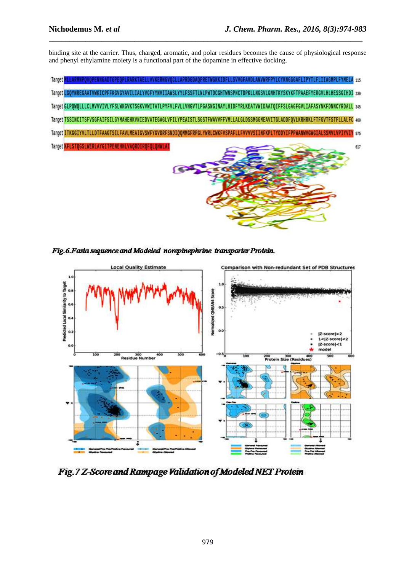binding site at the carrier. Thus, charged, aromatic, and polar residues becomes the cause of physiological response and phenyl ethylamine moiety is a functional part of the dopamine in effective docking.

\_\_\_\_\_\_\_\_\_\_\_\_\_\_\_\_\_\_\_\_\_\_\_\_\_\_\_\_\_\_\_\_\_\_\_\_\_\_\_\_\_\_\_\_\_\_\_\_\_\_\_\_\_\_\_\_\_\_\_\_\_\_\_\_\_\_\_\_\_\_\_\_\_\_\_\_\_

| <b>TAELLVVKERNGVOCLLAPRDGDAOPRETWGKKIDFLLSVVGFAVDLANVWRFPYLCYKNGGGAFLIPYTLFLIIAGMPLFYMELA 115</b><br>Target<br>Target LGOYNREGAATVWKICPFFKGVGYAVILIALYVGFYYNVIIAWSLYYLFSSFTLNLPWTDCGHTWNSPNCTDPKLLNGSVLGNHTKYSKYKFTPAAEFYERGVLHLHESSGIHDI 230                    |     |
|------------------------------------------------------------------------------------------------------------------------------------------------------------------------------------------------------------------------------------------------------------------|-----|
| Target GLPQWQLLLCLWVVVIVLYFSLWKGVKTSGKVVWITATLPYFVLFVLLVHGVTLPGASNGINAYLHIDFYRLKEATVWIDAATQIFFSLGAGFGVLIAFASYNKFDNNCYRDALL 345                                                                                                                                   |     |
| Target TSSINCITSFVSGFAIFSILGYMAHEHKVNIEDVATEGAGLVFILYPEAISTLSGSTFWAVVFFVMLLALGLDSSMGGMEAVITGLADDFQVLKRHRKLFTFGVTFSTFLLALFC 460<br>Target ITKGGIYVLTLLDTFAAGTSILFAVLMEAIGVSWFYGVDRFSNDIQQMMGFRPGLYWRLCWKFVSPAFLLFVVVVSIINFKPLTYDDYIFPPWANWVGWGIALSSNVLVPIYVIY 575 |     |
| Target KFLSTQGSLWERLAYGITPENEHHLVAQRDIRQFQLQHWLAI                                                                                                                                                                                                                | 617 |
|                                                                                                                                                                                                                                                                  |     |

Fig.6. Fasta sequence and Modeled norepinephrine transporter Protein.



Fig. 7 Z-Score and Rampage Validation of Modeled NET Protein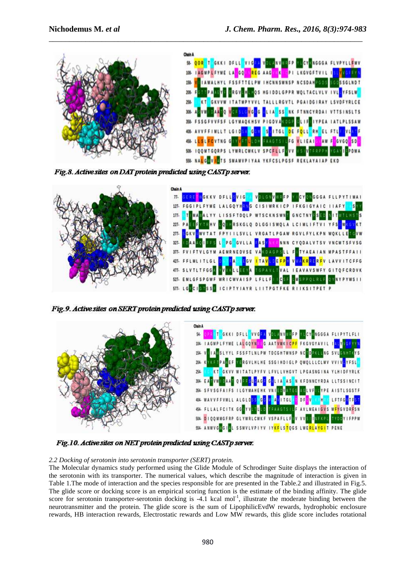

\_\_\_\_\_\_\_\_\_\_\_\_\_\_\_\_\_\_\_\_\_\_\_\_\_\_\_\_\_\_\_\_\_\_\_\_\_\_\_\_\_\_\_\_\_\_\_\_\_\_\_\_\_\_\_\_\_\_\_\_\_\_\_\_\_\_\_\_\_\_\_\_\_\_\_\_\_

Fig.8. Active sites on DAT protein predicted using CASTp server.



Fig.9. Active sites on SERT protein predicted using CASTp server.



Fig.10. Active sites on NET protein predicted using CASTp server.

# *2.2 Docking of serotonin into serotonin transporter (SERT) protein.*

The Molecular dynamics study performed using the Glide Module of Schrodinger Suite displays the interaction of the serotonin with its transporter. The numerical values, which describe the magnitude of interaction is given in Table 1.The mode of interaction and the species responsible for are presented in the Table.2 and illustrated in Fig.5. The glide score or docking score is an empirical scoring function is the estimate of the binding affinity. The glide score for serotonin transporter-serotonin docking is -4.1 kcal mol<sup>-1</sup>, illustrate the moderate binding between the neurotransmitter and the protein. The glide score is the sum of LipophilicEvdW rewards, hydrophobic enclosure rewards, HB interaction rewards, Electrostatic rewards and Low MW rewards, this glide score includes rotational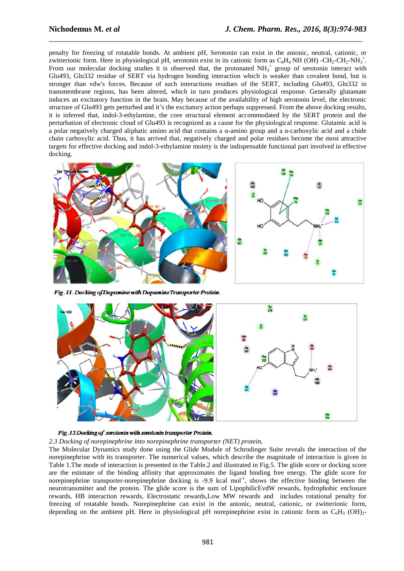penalty for freezing of rotatable bonds. At ambient pH, Serotonin can exist in the anionic, neutral, cationic, or zwitterionic form. Here in physiological pH, serotonin exist in its cationic form as  $C_8H_4$  NH (OH) -CH<sub>2</sub>-CH<sub>2</sub>-NH<sub>3</sub><sup>+</sup>. From our molecular docking studies it is observed that, the protonated  $NH_3^+$  group of serotonin interact with Glu493, Gln332 residue of SERT via hydrogen bonding interaction which is weaker than covalent bond, but is stronger than vdw's forces. Because of such interactions residues of the SERT, including Glu493, Gln332 in transmembrane regions, has been altered, which in turn produces physiological response. Generally glutamate induces an excitatory function in the brain. May because of the availability of high serotonin level, the electronic structure of Glu493 gets perturbed and it's the excitatory action perhaps suppressed. From the above docking results, it is inferred that, indol-3-ethylamine, the core structural element accommodated by the SERT protein and the perturbation of electronic cloud of Glu493 is recognized as a cause for the physiological response. Glutamic acid is a polar negatively charged aliphatic amino acid that contains a  $\alpha$ -amino group and a  $\alpha$ -carboxylic acid and a chide chain carboxylic acid. Thus, it has arrived that, negatively charged and polar residues become the most attractive targets for effective docking and indol-3-ethylamine moiety is the indispensable functional part involved in effective docking.

\_\_\_\_\_\_\_\_\_\_\_\_\_\_\_\_\_\_\_\_\_\_\_\_\_\_\_\_\_\_\_\_\_\_\_\_\_\_\_\_\_\_\_\_\_\_\_\_\_\_\_\_\_\_\_\_\_\_\_\_\_\_\_\_\_\_\_\_\_\_\_\_\_\_\_\_\_



Fig.11. Docking of Dopamine with Dopamine Transporter Protein.





## *2.3 Docking of norepinephrine into norepinephrine transporter (NET) protein.*

The Molecular Dynamics study done using the Glide Module of Schrodinger Suite reveals the interaction of the norepinephrine with its transporter. The numerical values, which describe the magnitude of interaction is given in Table 1.The mode of interaction is presented in the Table.2 and illustrated in Fig.5. The glide score or docking score are the estimate of the binding affinity that approximates the ligand binding free energy. The glide score for norepinephrine transporter-norepinephrine docking is -9.9 kcal mol<sup>-1</sup>, shows the effective binding between the neurotransmitter and the protein. The glide score is the sum of LipophilicEvdW rewards, hydrophobic enclosure rewards, HB interaction rewards, Electrostatic rewards,Low MW rewards and includes rotational penalty for freezing of rotatable bonds. Norepinephrine can exist in the anionic, neutral, cationic, or zwitterionic form, depending on the ambient pH. Here in physiological pH norepinephrine exist in cationic form as  $C_6H_3$  (OH)<sub>2</sub>-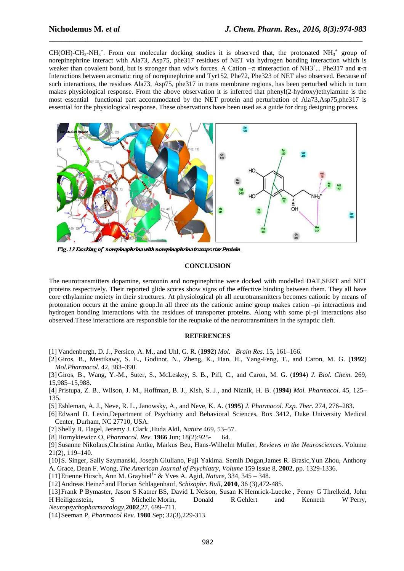$CH(OH)-CH_2-NH_3^+$ . From our molecular docking studies it is observed that, the protonated NH<sub>3</sub><sup>+</sup> group of norepinephrine interact with Ala73, Asp75, phe317 residues of NET via hydrogen bonding interaction which is weaker than covalent bond, but is stronger than vdw's forces. A Cation  $-\pi$  πinteraction of NH3<sup>+</sup>... Phe317 and  $\pi$ -π Interactions between aromatic ring of norepinephrine and Tyr152, Phe72, Phe323 of NET also observed. Because of such interactions, the residues Ala73, Asp75, phe317 in trans membrane regions, has been perturbed which in turn makes physiological response. From the above observation it is inferred that phenyl(2-hydroxy)ethylamine is the most essential functional part accommodated by the NET protein and perturbation of Ala73,Asp75,phe317 is essential for the physiological response. These observations have been used as a guide for drug designing process.

\_\_\_\_\_\_\_\_\_\_\_\_\_\_\_\_\_\_\_\_\_\_\_\_\_\_\_\_\_\_\_\_\_\_\_\_\_\_\_\_\_\_\_\_\_\_\_\_\_\_\_\_\_\_\_\_\_\_\_\_\_\_\_\_\_\_\_\_\_\_\_\_\_\_\_\_\_



Fig.13 Docking of norwinephrine with norwinephrine transporter Protein.

## **CONCLUSION**

The neurotransmitters dopamine, serotonin and norepinephrine were docked with modelled DAT,SERT and NET proteins respectively. Their reported glide scores show signs of the effective binding between them. They all have core ethylamine moiety in their structures. At physiological ph all neurotransmitters becomes cationic by means of protonation occurs at the amine group.In all three nts the cationic amine group makes cation –pi interactions and hydrogen bonding interactions with the residues of transporter proteins. Along with some pi-pi interactions also observed.These interactions are responsible for the reuptake of the neurotransmitters in the synaptic cleft.

#### **REFERENCES**

- [1] Vandenbergh, D. J., Persico, A. M., and Uhl, G. R. (**1992**) *Mol. Brain Res*. 15, 161–166.
- [2] Giros, B., Mestikawy, S. E., Godinot, N., Zheng, K., Han, H., Yang-Feng, T., and Caron, M. G. (**1992**) *Mol.Pharmacol.* 42, 383–390.
- [3] Giros, B., Wang, Y.-M., Suter, S., McLeskey, S. B., Pifl, C., and Caron, M. G. (**1994**) *J. Biol. Chem*. 269, 15,985–15,988.

[4] Pristupa, Z. B., Wilson, J. M., Hoffman, B. J., Kish, S. J., and Niznik, H. B. (**1994**) *Mol. Pharmacol*. 45, 125– 135.

- [5] Eshleman, A. J., Neve, R. L., Janowsky, A., and Neve, K. A. (**1995**) *J. Pharmacol. Exp. Ther*. 274, 276–283.
- [6] Edward D. Levin,Department of Psychiatry and Behavioral Sciences, Box 3412, Duke University Medical Center, Durham, NC 27710, USA.

[7] Shelly B. Flagel, Jeremy J. Clark ,Huda Akil, *Nature* 469, 53–57.

[8] Hornykiewicz O, *Pharmacol. Rev*. **1966** Jun; 18(2):925- 64.

[9] Susanne Nikolaus,Christina Antke, Markus Beu, Hans-Wilhelm Müller, *Reviews in the Neurosciences*. Volume 21(2), 119–140.

[10]S. Singer, Sally Szymanski, Joseph Giuliano, Fuji Yakima. Semih Dogan,James R. Brasic,Yun Zhou, Anthony A. Grace, Dean F. Wong, *The American Journal of Psychiatry, Volume* 159 Issue 8, **2002**, pp. 1329-1336.

[11]Etienne Hirsch, Ann M. Graybiel†‡ & Yves A. Agid, *Nature*, 334, 345 – 348.

[12] Andreas Heinz<sup>\*</sup> and Florian Schlagenhauf, *Schizophr. Bull*, **2010**, 36 (3),472-485.

[13]Frank P Bymaster, Jason S Katner BS, David L Nelson, Susan K Hemrick-Luecke , Penny G Threlkeld, John H Heiligenstein, S Michelle Morin, Donald R Gehlert and Kenneth W Perry, *Neuropsychopharmacology*,**2002**,27, 699–711.

[14]Seeman P, *Pharmacol Rev*. **1980** Sep; 32(3),229-313.